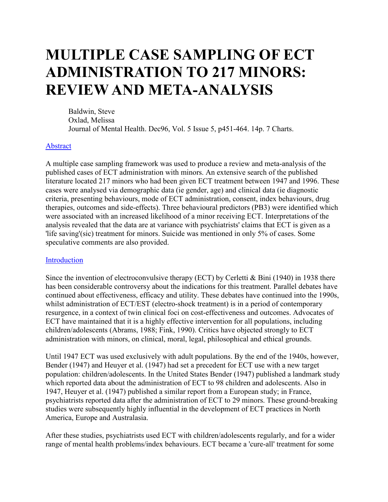# **MULTIPLE CASE SAMPLING OF ECT ADMINISTRATION TO 217 MINORS: REVIEW AND META-ANALYSIS**

Baldwin, Steve Oxlad, Melissa Journal of Mental Health. Dec96, Vol. 5 Issue 5, p451-464. 14p. 7 Charts.

#### Abstract

A multiple case sampling framework was used to produce a review and meta-analysis of the published cases of ECT administration with minors. An extensive search of the published literature located 217 minors who had been given ECT treatment between 1947 and 1996. These cases were analysed via demographic data (ie gender, age) and clinical data (ie diagnostic criteria, presenting behaviours, mode of ECT administration, consent, index behaviours, drug therapies, outcomes and side-effects). Three behavioural predictors (PB3) were identified which were associated with an increased likelihood of a minor receiving ECT. Interpretations of the analysis revealed that the data are at variance with psychiatrists' claims that ECT is given as a 'life saving'(sic) treatment for minors. Suicide was mentioned in only 5% of cases. Some speculative comments are also provided.

#### Introduction

Since the invention of electroconvulsive therapy (ECT) by Cerletti & Bini (1940) in 1938 there has been considerable controversy about the indications for this treatment. Parallel debates have continued about effectiveness, efficacy and utility. These debates have continued into the 1990s, whilst administration of ECT/EST (electro-shock treatment) is in a period of contemporary resurgence, in a context of twin clinical foci on cost-effectiveness and outcomes. Advocates of ECT have maintained that it is a highly effective intervention for all populations, including children/adolescents (Abrams, 1988; Fink, 1990). Critics have objected strongly to ECT administration with minors, on clinical, moral, legal, philosophical and ethical grounds.

Until 1947 ECT was used exclusively with adult populations. By the end of the 1940s, however, Bender (1947) and Heuyer et al. (1947) had set a precedent for ECT use with a new target population: children/adolescents. In the United States Bender (1947) published a landmark study which reported data about the administration of ECT to 98 children and adolescents. Also in 1947, Heuyer et al. (1947) published a similar report from a European study; in France, psychiatrists reported data after the administration of ECT to 29 minors. These ground-breaking studies were subsequently highly influential in the development of ECT practices in North America, Europe and Australasia.

After these studies, psychiatrists used ECT with children/adolescents regularly, and for a wider range of mental health problems/index behaviours. ECT became a 'cure-all' treatment for some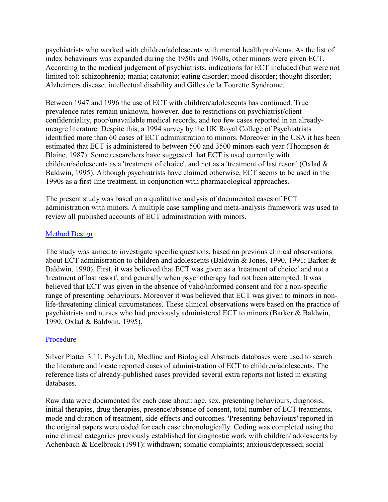psychiatrists who worked with children/adolescents with mental health problems. As the list of index behaviours was expanded during the 1950s and 1960s, other minors were given ECT. According to the medical judgement of psychiatrists, indications for ECT included (but were not limited to): schizophrenia; mania; catatonia; eating disorder; mood disorder; thought disorder; Alzheimers disease, intellectual disability and Gilles de la Tourette Syndrome.

Between 1947 and 1996 the use of ECT with children/adolescents has continued. True prevalence rates remain unknown, however, due to restrictions on psychiatrist/client confidentiality, poor/unavailable medical records, and too few cases reported in an alreadymeagre literature. Despite this, a 1994 survey by the UK Royal College of Psychiatrists identified more than 60 cases of ECT administration to minors. Moreover in the USA it has been estimated that ECT is administered to between 500 and 3500 minors each year (Thompson & Blaine, 1987). Some researchers have suggested that ECT is used currently with children/adolescents as a 'treatment of choice', and not as a 'treatment of last resort' (Oxlad & Baldwin, 1995). Although psychiatrists have claimed otherwise, ECT seems to be used in the 1990s as a first-line treatment, in conjunction with pharmacological approaches.

The present study was based on a qualitative analysis of documented cases of ECT administration with minors. A multiple case sampling and meta-analysis framework was used to review all published accounts of ECT administration with minors.

# Method Design

The study was aimed to investigate specific questions, based on previous clinical observations about ECT administration to children and adolescents (Baldwin & Jones, 1990, 1991; Barker & Baldwin, 1990). First, it was believed that ECT was given as a 'treatment of choice' and not a 'treatment of last resort', and generally when psychotherapy had not been attempted. It was believed that ECT was given in the absence of valid/informed consent and for a non-specific range of presenting behaviours. Moreover it was believed that ECT was given to minors in nonlife-threatening clinical circumstances. These clinical observations were based on the practice of psychiatrists and nurses who had previously administered ECT to minors (Barker & Baldwin, 1990; Oxlad & Baldwin, 1995).

# Procedure

Silver Platter 3.11, Psych Lit, Medline and Biological Abstracts databases were used to search the literature and locate reported cases of administration of ECT to children/adolescents. The reference lists of already-published cases provided several extra reports not listed in existing databases.

Raw data were documented for each case about: age, sex, presenting behaviours, diagnosis, initial therapies, drug therapies, presence/absence of consent, total number of ECT treatments, mode and duration of treatment, side-effects and outcomes. 'Presenting behaviours' reported in the original papers were coded for each case chronologically. Coding was completed using the nine clinical categories previously established for diagnostic work with children/ adolescents by Achenbach & Edelbrock (1991): withdrawn; somatic complaints; anxious/depressed; social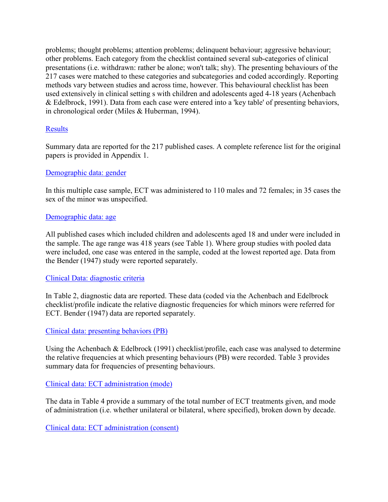problems; thought problems; attention problems; delinquent behaviour; aggressive behaviour; other problems. Each category from the checklist contained several sub-categories of clinical presentations (i.e. withdrawn: rather be alone; won't talk; shy). The presenting behaviours of the 217 cases were matched to these categories and subcategories and coded accordingly. Reporting methods vary between studies and across time, however. This behavioural checklist has been used extensively in clinical setting s with children and adolescents aged 4-18 years (Achenbach & Edelbrock, 1991). Data from each case were entered into a 'key table' of presenting behaviors, in chronological order (Miles & Huberman, 1994).

# **Results**

Summary data are reported for the 217 published cases. A complete reference list for the original papers is provided in Appendix 1.

# Demographic data: gender

In this multiple case sample, ECT was administered to 110 males and 72 females; in 35 cases the sex of the minor was unspecified.

#### Demographic data: age

All published cases which included children and adolescents aged 18 and under were included in the sample. The age range was 418 years (see Table 1). Where group studies with pooled data were included, one case was entered in the sample, coded at the lowest reported age. Data from the Bender (1947) study were reported separately.

# Clinical Data: diagnostic criteria

In Table 2, diagnostic data are reported. These data (coded via the Achenbach and Edelbrock checklist/profile indicate the relative diagnostic frequencies for which minors were referred for ECT. Bender (1947) data are reported separately.

# Clinical data: presenting behaviors (PB)

Using the Achenbach & Edelbrock (1991) checklist/profile, each case was analysed to determine the relative frequencies at which presenting behaviours (PB) were recorded. Table 3 provides summary data for frequencies of presenting behaviours.

# Clinical data: ECT administration (mode)

The data in Table 4 provide a summary of the total number of ECT treatments given, and mode of administration (i.e. whether unilateral or bilateral, where specified), broken down by decade.

Clinical data: ECT administration (consent)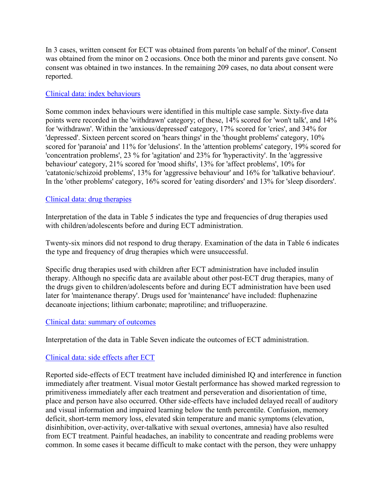In 3 cases, written consent for ECT was obtained from parents 'on behalf of the minor'. Consent was obtained from the minor on 2 occasions. Once both the minor and parents gave consent. No consent was obtained in two instances. In the remaining 209 cases, no data about consent were reported.

### Clinical data: index behaviours

Some common index behaviours were identified in this multiple case sample. Sixty-five data points were recorded in the 'withdrawn' category; of these, 14% scored for 'won't talk', and 14% for 'withdrawn'. Within the 'anxious/depressed' category, 17% scored for 'cries', and 34% for 'depressed'. Sixteen percent scored on 'hears things' in the 'thought problems' category, 10% scored for 'paranoia' and 11% for 'delusions'. In the 'attention problems' category, 19% scored for 'concentration problems', 23 % for 'agitation' and 23% for 'hyperactivity'. In the 'aggressive behaviour' category, 21% scored for 'mood shifts', 13% for 'affect problems', 10% for 'catatonic/schizoid problems', 13% for 'aggressive behaviour' and 16% for 'talkative behaviour'. In the 'other problems' category, 16% scored for 'eating disorders' and 13% for 'sleep disorders'.

#### Clinical data: drug therapies

Interpretation of the data in Table 5 indicates the type and frequencies of drug therapies used with children/adolescents before and during ECT administration.

Twenty-six minors did not respond to drug therapy. Examination of the data in Table 6 indicates the type and frequency of drug therapies which were unsuccessful.

Specific drug therapies used with children after ECT administration have included insulin therapy. Although no specific data are available about other post-ECT drug therapies, many of the drugs given to children/adolescents before and during ECT administration have been used later for 'maintenance therapy'. Drugs used for 'maintenance' have included: fluphenazine decanoate injections; lithium carbonate; maprotiline; and trifluoperazine.

#### Clinical data: summary of outcomes

Interpretation of the data in Table Seven indicate the outcomes of ECT administration.

# Clinical data: side effects after ECT

Reported side-effects of ECT treatment have included diminished IQ and interference in function immediately after treatment. Visual motor Gestalt performance has showed marked regression to primitiveness immediately after each treatment and perseveration and disorientation of time, place and person have also occurred. Other side-effects have included delayed recall of auditory and visual information and impaired learning below the tenth percentile. Confusion, memory deficit, short-term memory loss, elevated skin temperature and manic symptoms (elevation, disinhibition, over-activity, over-talkative with sexual overtones, amnesia) have also resulted from ECT treatment. Painful headaches, an inability to concentrate and reading problems were common. In some cases it became difficult to make contact with the person, they were unhappy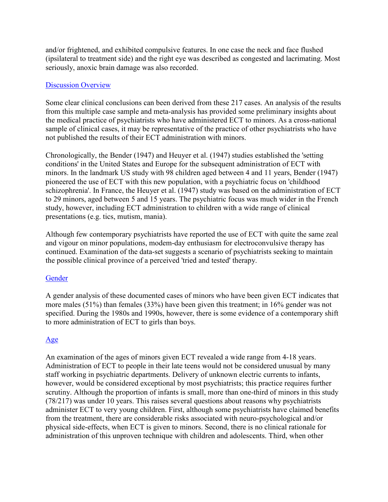and/or frightened, and exhibited compulsive features. In one case the neck and face flushed (ipsilateral to treatment side) and the right eye was described as congested and lacrimating. Most seriously, anoxic brain damage was also recorded.

#### Discussion Overview

Some clear clinical conclusions can been derived from these 217 cases. An analysis of the results from this multiple case sample and meta-analysis has provided some preliminary insights about the medical practice of psychiatrists who have administered ECT to minors. As a cross-national sample of clinical cases, it may be representative of the practice of other psychiatrists who have not published the results of their ECT administration with minors.

Chronologically, the Bender (1947) and Heuyer et al. (1947) studies established the 'setting conditions' in the United States and Europe for the subsequent administration of ECT with minors. In the landmark US study with 98 children aged between 4 and 11 years, Bender (1947) pioneered the use of ECT with this new population, with a psychiatric focus on 'childhood schizophrenia'. In France, the Heuyer et al. (1947) study was based on the administration of ECT to 29 minors, aged between 5 and 15 years. The psychiatric focus was much wider in the French study, however, including ECT administration to children with a wide range of clinical presentations (e.g. tics, mutism, mania).

Although few contemporary psychiatrists have reported the use of ECT with quite the same zeal and vigour on minor populations, modem-day enthusiasm for electroconvulsive therapy has continued. Examination of the data-set suggests a scenario of psychiatrists seeking to maintain the possible clinical province of a perceived 'tried and tested' therapy.

# **Gender**

A gender analysis of these documented cases of minors who have been given ECT indicates that more males (51%) than females (33%) have been given this treatment; in 16% gender was not specified. During the 1980s and 1990s, however, there is some evidence of a contemporary shift to more administration of ECT to girls than boys.

# Age

An examination of the ages of minors given ECT revealed a wide range from 4-18 years. Administration of ECT to people in their late teens would not be considered unusual by many staff working in psychiatric departments. Delivery of unknown electric currents to infants, however, would be considered exceptional by most psychiatrists; this practice requires further scrutiny. Although the proportion of infants is small, more than one-third of minors in this study (78/217) was under 10 years. This raises several questions about reasons why psychiatrists administer ECT to very young children. First, although some psychiatrists have claimed benefits from the treatment, there are considerable risks associated with neuro-psychological and/or physical side-effects, when ECT is given to minors. Second, there is no clinical rationale for administration of this unproven technique with children and adolescents. Third, when other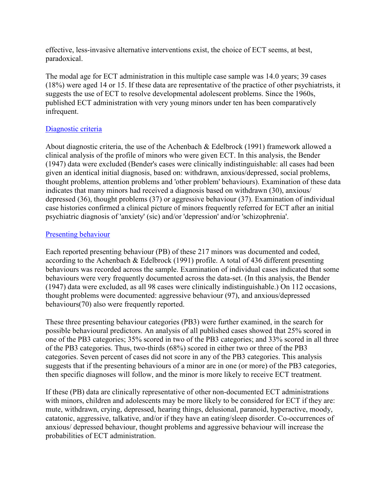effective, less-invasive alternative interventions exist, the choice of ECT seems, at best, paradoxical.

The modal age for ECT administration in this multiple case sample was 14.0 years; 39 cases (18%) were aged 14 or 15. If these data are representative of the practice of other psychiatrists, it suggests the use of ECT to resolve developmental adolescent problems. Since the 1960s, published ECT administration with very young minors under ten has been comparatively infrequent.

# Diagnostic criteria

About diagnostic criteria, the use of the Achenbach & Edelbrock (1991) framework allowed a clinical analysis of the profile of minors who were given ECT. In this analysis, the Bender (1947) data were excluded (Bender's cases were clinically indistinguishable: all cases had been given an identical initial diagnosis, based on: withdrawn, anxious/depressed, social problems, thought problems, attention problems and 'other problem' behaviours). Examination of these data indicates that many minors had received a diagnosis based on withdrawn (30), anxious/ depressed (36), thought problems (37) or aggressive behaviour (37). Examination of individual case histories confirmed a clinical picture of minors frequently referred for ECT after an initial psychiatric diagnosis of 'anxiety' (sic) and/or 'depression' and/or 'schizophrenia'.

# Presenting behaviour

Each reported presenting behaviour (PB) of these 217 minors was documented and coded, according to the Achenbach & Edelbrock (1991) profile. A total of 436 different presenting behaviours was recorded across the sample. Examination of individual cases indicated that some behaviours were very frequently documented across the data-set. (In this analysis, the Bender (1947) data were excluded, as all 98 cases were clinically indistinguishable.) On 112 occasions, thought problems were documented: aggressive behaviour (97), and anxious/depressed behaviours(70) also were frequently reported.

These three presenting behaviour categories (PB3) were further examined, in the search for possible behavioural predictors. An analysis of all published cases showed that 25% scored in one of the PB3 categories; 35% scored in two of the PB3 categories; and 33% scored in all three of the PB3 categories. Thus, two-thirds (68%) scored in either two or three of the PB3 categories. Seven percent of cases did not score in any of the PB3 categories. This analysis suggests that if the presenting behaviours of a minor are in one (or more) of the PB3 categories, then specific diagnoses will follow, and the minor is more likely to receive ECT treatment.

If these (PB) data are clinically representative of other non-documented ECT administrations with minors, children and adolescents may be more likely to be considered for ECT if they are: mute, withdrawn, crying, depressed, hearing things, delusional, paranoid, hyperactive, moody, catatonic, aggressive, talkative, and/or if they have an eating/sleep disorder. Co-occurrences of anxious/ depressed behaviour, thought problems and aggressive behaviour will increase the probabilities of ECT administration.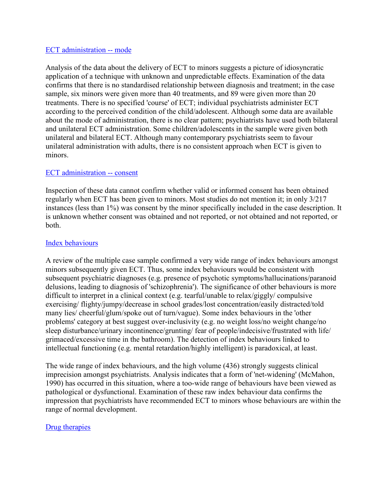#### ECT administration -- mode

Analysis of the data about the delivery of ECT to minors suggests a picture of idiosyncratic application of a technique with unknown and unpredictable effects. Examination of the data confirms that there is no standardised relationship between diagnosis and treatment; in the case sample, six minors were given more than 40 treatments, and 89 were given more than 20 treatments. There is no specified 'course' of ECT; individual psychiatrists administer ECT according to the perceived condition of the child/adolescent. Although some data are available about the mode of administration, there is no clear pattern; psychiatrists have used both bilateral and unilateral ECT administration. Some children/adolescents in the sample were given both unilateral and bilateral ECT. Although many contemporary psychiatrists seem to favour unilateral administration with adults, there is no consistent approach when ECT is given to minors.

#### ECT administration -- consent

Inspection of these data cannot confirm whether valid or informed consent has been obtained regularly when ECT has been given to minors. Most studies do not mention it; in only 3/217 instances (less than 1%) was consent by the minor specifically included in the case description. It is unknown whether consent was obtained and not reported, or not obtained and not reported, or both.

#### Index behaviours

A review of the multiple case sample confirmed a very wide range of index behaviours amongst minors subsequently given ECT. Thus, some index behaviours would be consistent with subsequent psychiatric diagnoses (e.g. presence of psychotic symptoms/hallucinations/paranoid delusions, leading to diagnosis of 'schizophrenia'). The significance of other behaviours is more difficult to interpret in a clinical context (e.g. tearful/unable to relax/giggly/ compulsive exercising/ flighty/jumpy/decrease in school grades/lost concentration/easily distracted/told many lies/ cheerful/glum/spoke out of turn/vague). Some index behaviours in the 'other problems' category at best suggest over-inclusivity (e.g. no weight loss/no weight change/no sleep disturbance/urinary incontinence/grunting/ fear of people/indecisive/frustrated with life/ grimaced/excessive time in the bathroom). The detection of index behaviours linked to intellectual functioning (e.g. mental retardation/highly intelligent) is paradoxical, at least.

The wide range of index behaviours, and the high volume (436) strongly suggests clinical imprecision amongst psychiatrists. Analysis indicates that a form of 'net-widening' (McMahon, 1990) has occurred in this situation, where a too-wide range of behaviours have been viewed as pathological or dysfunctional. Examination of these raw index behaviour data confirms the impression that psychiatrists have recommended ECT to minors whose behaviours are within the range of normal development.

# Drug therapies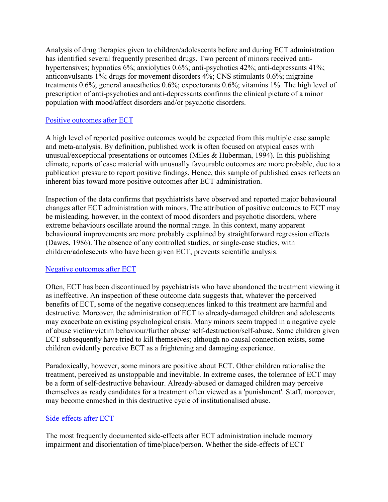Analysis of drug therapies given to children/adolescents before and during ECT administration has identified several frequently prescribed drugs. Two percent of minors received antihypertensives; hypnotics 6%; anxiolytics 0.6%; anti-psychotics 42%; anti-depressants 41%; anticonvulsants 1%; drugs for movement disorders 4%; CNS stimulants 0.6%; migraine treatments 0.6%; general anaesthetics 0.6%; expectorants 0.6%; vitamins 1%. The high level of prescription of anti-psychotics and anti-depressants confirms the clinical picture of a minor population with mood/affect disorders and/or psychotic disorders.

# Positive outcomes after ECT

A high level of reported positive outcomes would be expected from this multiple case sample and meta-analysis. By definition, published work is often focused on atypical cases with unusual/exceptional presentations or outcomes (Miles & Huberman, 1994). In this publishing climate, reports of case material with unusually favourable outcomes are more probable, due to a publication pressure to report positive findings. Hence, this sample of published cases reflects an inherent bias toward more positive outcomes after ECT administration.

Inspection of the data confirms that psychiatrists have observed and reported major behavioural changes after ECT administration with minors. The attribution of positive outcomes to ECT may be misleading, however, in the context of mood disorders and psychotic disorders, where extreme behaviours oscillate around the normal range. In this context, many apparent behavioural improvements are more probably explained by straightforward regression effects (Dawes, 1986). The absence of any controlled studies, or single-case studies, with children/adolescents who have been given ECT, prevents scientific analysis.

# Negative outcomes after ECT

Often, ECT has been discontinued by psychiatrists who have abandoned the treatment viewing it as ineffective. An inspection of these outcome data suggests that, whatever the perceived benefits of ECT, some of the negative consequences linked to this treatment are harmful and destructive. Moreover, the administration of ECT to already-damaged children and adolescents may exacerbate an existing psychological crisis. Many minors seem trapped in a negative cycle of abuse victim/victim behaviour/further abuse/ self-destruction/self-abuse. Some children given ECT subsequently have tried to kill themselves; although no causal connection exists, some children evidently perceive ECT as a frightening and damaging experience.

Paradoxically, however, some minors are positive about ECT. Other children rationalise the treatment, perceived as unstoppable and inevitable. In extreme cases, the tolerance of ECT may be a form of self-destructive behaviour. Already-abused or damaged children may perceive themselves as ready candidates for a treatment often viewed as a 'punishment'. Staff, moreover, may become enmeshed in this destructive cycle of institutionalised abuse.

# Side-effects after ECT

The most frequently documented side-effects after ECT administration include memory impairment and disorientation of time/place/person. Whether the side-effects of ECT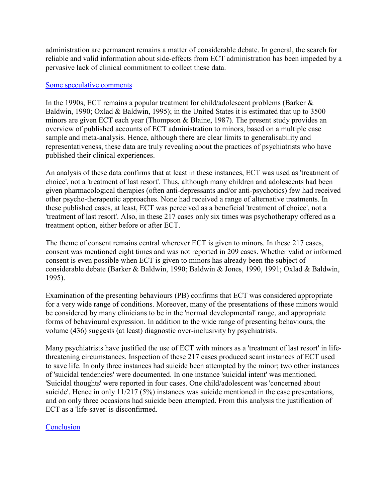administration are permanent remains a matter of considerable debate. In general, the search for reliable and valid information about side-effects from ECT administration has been impeded by a pervasive lack of clinical commitment to collect these data.

#### Some speculative comments

In the 1990s, ECT remains a popular treatment for child/adolescent problems (Barker  $\&$ Baldwin, 1990; Oxlad & Baldwin, 1995); in the United States it is estimated that up to 3500 minors are given ECT each year (Thompson & Blaine, 1987). The present study provides an overview of published accounts of ECT administration to minors, based on a multiple case sample and meta-analysis. Hence, although there are clear limits to generalisability and representativeness, these data are truly revealing about the practices of psychiatrists who have published their clinical experiences.

An analysis of these data confirms that at least in these instances, ECT was used as 'treatment of choice', not a 'treatment of last resort'. Thus, although many children and adolescents had been given pharmacological therapies (often anti-depressants and/or anti-psychotics) few had received other psycho-therapeutic approaches. None had received a range of alternative treatments. In these published cases, at least, ECT was perceived as a beneficial 'treatment of choice', not a 'treatment of last resort'. Also, in these 217 cases only six times was psychotherapy offered as a treatment option, either before or after ECT.

The theme of consent remains central wherever ECT is given to minors. In these 217 cases, consent was mentioned eight times and was not reported in 209 cases. Whether valid or informed consent is even possible when ECT is given to minors has already been the subject of considerable debate (Barker & Baldwin, 1990; Baldwin & Jones, 1990, 1991; Oxlad & Baldwin, 1995).

Examination of the presenting behaviours (PB) confirms that ECT was considered appropriate for a very wide range of conditions. Moreover, many of the presentations of these minors would be considered by many clinicians to be in the 'normal developmental' range, and appropriate forms of behavioural expression. In addition to the wide range of presenting behaviours, the volume (436) suggests (at least) diagnostic over-inclusivity by psychiatrists.

Many psychiatrists have justified the use of ECT with minors as a 'treatment of last resort' in lifethreatening circumstances. Inspection of these 217 cases produced scant instances of ECT used to save life. In only three instances had suicide been attempted by the minor; two other instances of 'suicidal tendencies' were documented. In one instance 'suicidal intent' was mentioned. 'Suicidal thoughts' were reported in four cases. One child/adolescent was 'concerned about suicide'. Hence in only 11/217 (5%) instances was suicide mentioned in the case presentations, and on only three occasions had suicide been attempted. From this analysis the justification of ECT as a 'life-saver' is disconfirmed.

# **Conclusion**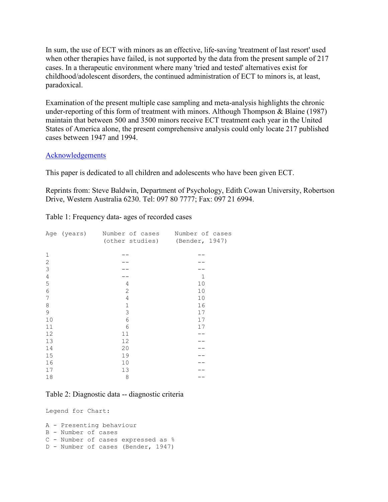In sum, the use of ECT with minors as an effective, life-saving 'treatment of last resort' used when other therapies have failed, is not supported by the data from the present sample of 217 cases. In a therapeutic environment where many 'tried and tested' alternatives exist for childhood/adolescent disorders, the continued administration of ECT to minors is, at least, paradoxical.

Examination of the present multiple case sampling and meta-analysis highlights the chronic under-reporting of this form of treatment with minors. Although Thompson & Blaine (1987) maintain that between 500 and 3500 minors receive ECT treatment each year in the United States of America alone, the present comprehensive analysis could only locate 217 published cases between 1947 and 1994.

#### Acknowledgements

This paper is dedicated to all children and adolescents who have been given ECT.

Reprints from: Steve Baldwin, Department of Psychology, Edith Cowan University, Robertson Drive, Western Australia 6230. Tel: 097 80 7777; Fax: 097 21 6994.

Table 1: Frequency data- ages of recorded cases

|              | Age (years) Number of cases Number of cases |              |
|--------------|---------------------------------------------|--------------|
|              | (other studies) (Bender, 1947)              |              |
|              |                                             |              |
| 1            |                                             |              |
| $\mathbf{2}$ |                                             |              |
| 3            |                                             |              |
| 4            |                                             | $\mathbf{1}$ |
| 5            | 4                                           | 10           |
| 6            | $\mathbf{2}$                                | 10           |
| 7            | 4                                           | 10           |
| 8            | $\mathbf 1$                                 | 16           |
| 9            | 3                                           | 17           |
| 10           | $\sqrt{6}$                                  | 17           |
| 11           | $6\,$                                       | 17           |
| 12           | 11                                          |              |
| 13           | 12                                          |              |
| 14           | 20                                          |              |
| 15           | 19                                          |              |
| 16           | $10$                                        |              |
| 17           | 13                                          |              |
| 18           | 8                                           |              |

#### Table 2: Diagnostic data -- diagnostic criteria

Legend for Chart:

```
A - Presenting behaviour 
B - Number of cases 
C - Number of cases expressed as % 
D - Number of cases (Bender, 1947)
```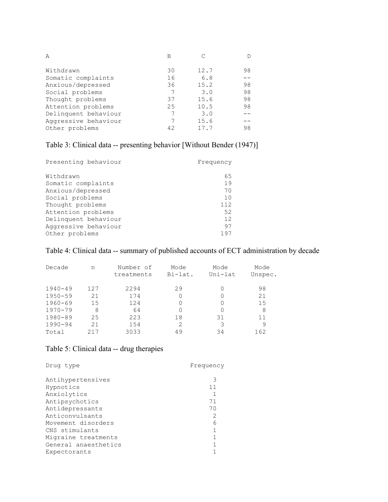| A                    | В  |      |    |
|----------------------|----|------|----|
| Withdrawn            | 30 | 12.7 | 98 |
| Somatic complaints   | 16 | 6.8  |    |
| Anxious/depressed    | 36 | 15.2 | 98 |
| Social problems      | 7  | 3.0  | 98 |
| Thought problems     | 37 | 15.6 | 98 |
| Attention problems   | 25 | 10.5 | 98 |
| Delinquent behaviour |    | 3.0  |    |
| Aggressive behaviour |    | 15.6 |    |
| Other problems       | 42 | 17.7 | 98 |

# Table 3: Clinical data -- presenting behavior [Without Bender (1947)]

| Presenting behaviour | Frequency |
|----------------------|-----------|
| Withdrawn            | 65        |
| Somatic complaints   | 19        |
| Anxious/depressed    | 70        |
| Social problems      | 10        |
| Thought problems     | 112       |
| Attention problems   | 52        |
| Delinquent behaviour | 12        |
| Aqqressive behaviour | 97        |
| Other problems       | 197       |

# Table 4: Clinical data -- summary of published accounts of ECT administration by decade

| Decade      | n   | Number of<br>treatments | Mode<br>Bi-lat. | Mode<br>Uni-lat | Mode<br>Unspec. |
|-------------|-----|-------------------------|-----------------|-----------------|-----------------|
| $1940 - 49$ | 127 | 2294                    | 29              | 0               | 98              |
| $1950 - 59$ | 21  | 174                     |                 | 0               | 21              |
| $1960 - 69$ | 15  | 124                     |                 | 0               | 15              |
| 1970-79     | 8   | 64                      |                 | 0               | 8               |
| 1980-89     | 25  | 223                     | 18              | 31              | 11              |
| $1990 - 94$ | 21  | 154                     | $\mathcal{L}$   | 3               | 9               |
| Total       |     | 3033                    | 49              | 34              | 162             |

# Table 5: Clinical data -- drug therapies

| Drug type            | Frequency |
|----------------------|-----------|
| Antihypertensives    | 3         |
| Hypnotics            | 11        |
| Anxiolytics          |           |
| Antipsychotics       | 71        |
| Antidepressants      | 70        |
| Anticonvulsants      | 2         |
| Movement disorders   | 6         |
| CNS stimulants       |           |
| Migraine treatments  |           |
| General anaesthetics |           |
| Expectorants         |           |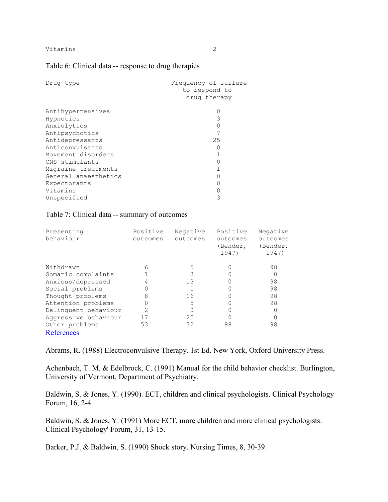#### Table 6: Clinical data -- response to drug therapies

| Drug type            | Frequency of failure<br>to respond to<br>drug therapy |
|----------------------|-------------------------------------------------------|
| Antihypertensives    |                                                       |
| Hypnotics            | 3                                                     |
| Anxiolytics          |                                                       |
| Antipsychotics       |                                                       |
| Antidepressants      | 25                                                    |
| Anticonvulsants      |                                                       |
| Movement disorders   |                                                       |
| CNS stimulants       |                                                       |
| Migraine treatments  |                                                       |
| General anaesthetics |                                                       |
| Expectorants         |                                                       |
| Vitamins             |                                                       |
| Unspecified          | 3                                                     |

#### Table 7: Clinical data -- summary of outcomes

| Presenting<br>behaviour | Positive<br>outcomes | Negative<br>outcomes | Positive<br>outcomes<br>(Bender,<br>1947) | Negative<br>outcomes<br>(Bender,<br>1947) |
|-------------------------|----------------------|----------------------|-------------------------------------------|-------------------------------------------|
| Withdrawn               | 6                    | 5                    |                                           | 98                                        |
| Somatic complaints      |                      | 3                    |                                           |                                           |
| Anxious/depressed       |                      | 13                   |                                           | 98                                        |
| Social problems         | 0                    |                      |                                           | 98                                        |
| Thought problems        | 8                    | 16                   |                                           | 98                                        |
| Attention problems      | 0                    | 5                    |                                           | 98                                        |
| Delinquent behaviour    | $\mathcal{L}$        |                      |                                           |                                           |
| Aggressive behaviour    | 17                   | 25                   |                                           |                                           |
| Other problems          | 53                   | 32                   | 98                                        | 98                                        |
| References              |                      |                      |                                           |                                           |

Abrams, R. (1988) Electroconvulsive Therapy. 1st Ed. New York, Oxford University Press.

Achenbach, T. M. & Edelbrock, C. (1991) Manual for the child behavior checklist. Burlington, University of Vermont, Department of Psychiatry.

Baldwin, S. & Jones, Y. (1990). ECT, children and clinical psychologists. Clinical Psychology Forum, 16, 2-4.

Baldwin, S. & Jones, Y. (1991) More ECT, more children and more clinical psychologists. Clinical Psychology' Forum, 31, 13-15.

Barker, P.J. & Baldwin, S. (1990) Shock story. Nursing Times, 8, 30-39.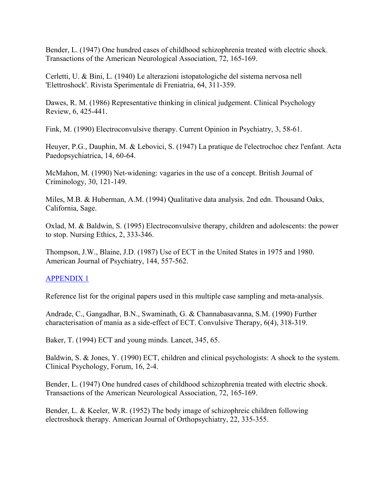Bender, L. (1947) One hundred cases of childhood schizophrenia treated with electric shock. Transactions of the American Neurological Association, 72, 165-169.

Cerletti, U. & Bini, L. (1940) Le alterazioni istopatologiche del sistema nervosa nell 'Elettroshock'. Rivista Sperimentale di Freniatria, 64, 311-359.

Dawes, R. M. (1986) Representative thinking in clinical judgement. Clinical Psychology Review, 6, 425-441.

Fink, M. (1990) Electroconvulsive therapy. Current Opinion in Psychiatry, 3, 58-61.

Heuyer, P.G., Dauphin, M. & Lebovici, S. (1947) La pratique de l'electrochoc chez l'enfant. Acta Paedopsychiatrica, 14, 60-64.

McMahon, M. (1990) Net-widening: vagaries in the use of a concept. British Journal of Criminology, 30, 121-149.

Miles, M.B. & Huberman, A.M. (1994) Qualitative data analysis. 2nd edn. Thousand Oaks, California, Sage.

Oxlad, M. & Baldwin, S. (1995) Electroconvulsive therapy, children and adolescents: the power to stop. Nursing Ethics, 2, 333-346.

Thompson, J.W., Blaine, J.D. (1987) Use of ECT in the United States in 1975 and 1980. American Journal of Psychiatry, 144, 557-562.

# APPENDIX 1

Reference list for the original papers used in this multiple case sampling and meta-analysis.

Andrade, C., Gangadhar, B.N., Swaminath, G. & Channabasavanna, S.M. (1990) Further characterisation of mania as a side-effect of ECT. Convulsive Therapy, 6(4), 318-319.

Baker, T. (1994) ECT and young minds. Lancet, 345, 65.

Baldwin, S. & Jones, Y. (1990) ECT, children and clinical psychologists: A shock to the system. Clinical Psychology, Forum, 16, 2-4.

Bender, L. (1947) One hundred cases of childhood schizophrenia treated with electric shock. Transactions of the American Neurological Association, 72, 165-169.

Bender, L. & Keeler, W.R. (1952) The body image of schizophreic children following electroshock therapy. American Journal of Orthopsychiatry, 22, 335-355.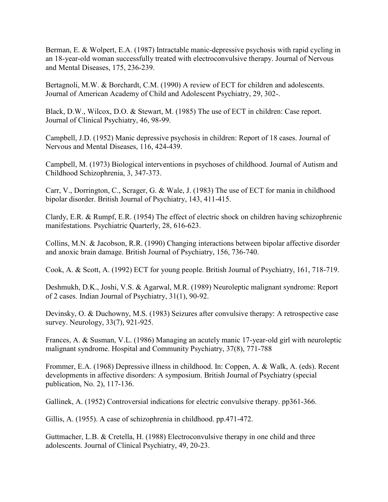Berman, E. & Wolpert, E.A. (1987) Intractable manic-depressive psychosis with rapid cycling in an 18-year-old woman successfully treated with electroconvulsive therapy. Journal of Nervous and Mental Diseases, 175, 236-239.

Bertagnoli, M.W. & Borchardt, C.M. (1990) A review of ECT for children and adolescents. Journal of American Academy of Child and Adolescent Psychiatry, 29, 302-.

Black, D.W., Wilcox, D.O. & Stewart, M. (1985) The use of ECT in children: Case report. Journal of Clinical Psychiatry, 46, 98-99.

Campbell, J.D. (1952) Manic depressive psychosis in children: Report of 18 cases. Journal of Nervous and Mental Diseases, 116, 424-439.

Campbell, M. (1973) Biological interventions in psychoses of childhood. Journal of Autism and Childhood Schizophrenia, 3, 347-373.

Carr, V., Dorrington, C., Scrager, G. & Wale, J. (1983) The use of ECT for mania in childhood bipolar disorder. British Journal of Psychiatry, 143, 411-415.

Clardy, E.R. & Rumpf, E.R. (1954) The effect of electric shock on children having schizophrenic manifestations. Psychiatric Quarterly, 28, 616-623.

Collins, M.N. & Jacobson, R.R. (1990) Changing interactions between bipolar affective disorder and anoxic brain damage. British Journal of Psychiatry, 156, 736-740.

Cook, A. & Scott, A. (1992) ECT for young people. British Journal of Psychiatry, 161, 718-719.

Deshmukh, D.K., Joshi, V.S. & Agarwal, M.R. (1989) Neuroleptic malignant syndrome: Report of 2 cases. Indian Journal of Psychiatry, 31(1), 90-92.

Devinsky, O. & Duchowny, M.S. (1983) Seizures after convulsive therapy: A retrospective case survey. Neurology, 33(7), 921-925.

Frances, A. & Susman, V.L. (1986) Managing an acutely manic 17-year-old girl with neuroleptic malignant syndrome. Hospital and Community Psychiatry, 37(8), 771-788

Frommer, E.A. (1968) Depressive illness in childhood. In: Coppen, A. & Walk, A. (eds). Recent developments in affective disorders: A symposium. British Journal of Psychiatry (special publication, No. 2), 117-136.

Gallinek, A. (1952) Controversial indications for electric convulsive therapy. pp361-366.

Gillis, A. (1955). A case of schizophrenia in childhood. pp.471-472.

Guttmacher, L.B. & Cretella, H. (1988) Electroconvulsive therapy in one child and three adolescents. Journal of Clinical Psychiatry, 49, 20-23.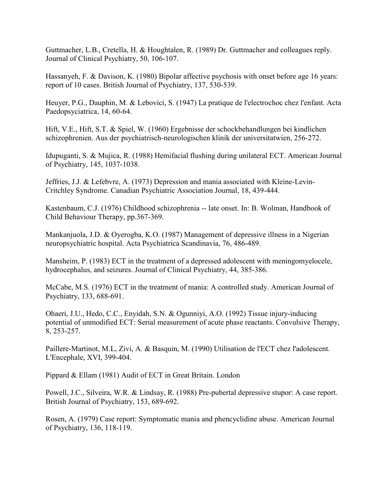Guttmacher, L.B., Cretella, H. & Houghtalen, R. (1989) Dr. Guttmacher and colleagues reply. Journal of Clinical Psychiatry, 50, 106-107.

Hassanyeh, F. & Davison, K. (1980) Bipolar affective psychosis with onset before age 16 years: report of 10 cases. British Journal of Psychiatry, 137, 530-539.

Heuyer, P.G., Dauphin, M. & Lebovici, S. (1947) La pratique de l'electrochoc chez l'enfant. Acta Paedopsyciatrica, 14, 60-64.

Hift, V.E., Hift, S.T. & Spiel, W. (1960) Ergebnisse der schockbehandlungen bei kindlichen schizophrenien. Aus der psychiatrisch-neurologischen klinik der universitatwien, 256-272.

Idupuganti, S. & Mujica, R. (1988) Hemifacial flushing during unilateral ECT. American Journal of Psychiatry, 145, 1037-1038.

Jeffries, J.J. & Lefebvre, A. (1973) Depression and mania associated with Kleine-Levin-Critchley Syndrome. Canadian Psychiatric Association Journal, 18, 439-444.

Kastenbaum, C.J. (1976) Childhood schizophrenia -- late onset. In: B. Wolman, Handbook of Child Behaviour Therapy, pp.367-369.

Mankanjuola, J.D. & Oyerogba, K.O. (1987) Management of depressive illness in a Nigerian neuropsychiatric hospital. Acta Psychiatrica Scandinavia, 76, 486-489.

Mansheim, P. (1983) ECT in the treatment of a depressed adolescent with meningomyelocele, hydrocephalus, and seizures. Journal of Clinical Psychiatry, 44, 385-386.

McCabe, M.S. (1976) ECT in the treatment of mania: A controlled study. American Journal of Psychiatry, 133, 688-691.

Ohaeri, J.U., Hedo, C.C., Enyidah, S.N. & Ogunniyi, A.O. (1992) Tissue injury-inducing potential of unmodified ECT: Serial measurement of acute phase reactants. Convulsive Therapy, 8, 253-257.

Paillere-Martinot, M.L, Zivi, A. & Basquin, M. (1990) Utilisation de l'ECT chez l'adolescent. L'Encephale, XVI, 399-404.

Pippard & Ellam (1981) Audit of ECT in Great Britain. London

Powell, J.C., Silveira, W.R. & Lindsay, R. (1988) Pre-pubertal depressive stupor: A case report. British Journal of Psychiatry, 153, 689-692.

Rosen, A. (1979) Case report: Symptomatic mania and phencyclidine abuse. American Journal of Psychiatry, 136, 118-119.